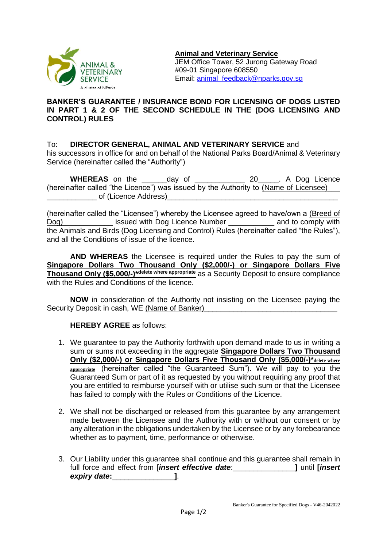

## **BANKER'S GUARANTEE / INSURANCE BOND FOR LICENSING OF DOGS LISTED IN PART 1 & 2 OF THE SECOND SCHEDULE IN THE (DOG LICENSING AND CONTROL) RULES**

## To: **DIRECTOR GENERAL, ANIMAL AND VETERINARY SERVICE** and

his successors in office for and on behalf of the National Parks Board/Animal & Veterinary Service (hereinafter called the "Authority")

| <b>WHEREAS</b> on the                                                                | dav of | 20 . A Dog Licence |
|--------------------------------------------------------------------------------------|--------|--------------------|
| (hereinafter called "the Licence") was issued by the Authority to (Name of Licensee) |        |                    |
| of (Licence Address)                                                                 |        |                    |

(hereinafter called the "Licensee") whereby the Licensee agreed to have/own a (Breed of Dog) issued with Dog Licence Number and to comply with the Animals and Birds (Dog Licensing and Control) Rules (hereinafter called "the Rules"), and all the Conditions of issue of the licence.

**AND WHEREAS** the Licensee is required under the Rules to pay the sum of **Singapore Dollars Two Thousand Only (\$2,000/-) or Singapore Dollars Five Thousand Only (\$5,000/-)\*delete where appropriate** as a Security Deposit to ensure compliance with the Rules and Conditions of the licence.

**NOW** in consideration of the Authority not insisting on the Licensee paying the Security Deposit in cash, WE (Name of Banker)

## **HEREBY AGREE** as follows:

- 1. We guarantee to pay the Authority forthwith upon demand made to us in writing a sum or sums not exceeding in the aggregate **Singapore Dollars Two Thousand Only (\$2,000/-) or Singapore Dollars Five Thousand Only (\$5,000/-)\*delete where appropriate** (hereinafter called "the Guaranteed Sum"). We will pay to you the Guaranteed Sum or part of it as requested by you without requiring any proof that you are entitled to reimburse yourself with or utilise such sum or that the Licensee has failed to comply with the Rules or Conditions of the Licence.
- 2. We shall not be discharged or released from this guarantee by any arrangement made between the Licensee and the Authority with or without our consent or by any alteration in the obligations undertaken by the Licensee or by any forebearance whether as to payment, time, performance or otherwise.
- 3. Our Liability under this guarantee shall continue and this guarantee shall remain in full force and effect from [*insert effective date*:\_\_\_\_\_\_\_\_\_\_\_\_\_\_\_**]** until **[***insert expiry date***:**\_\_\_\_\_\_\_\_\_\_\_\_\_\_\_**]**.